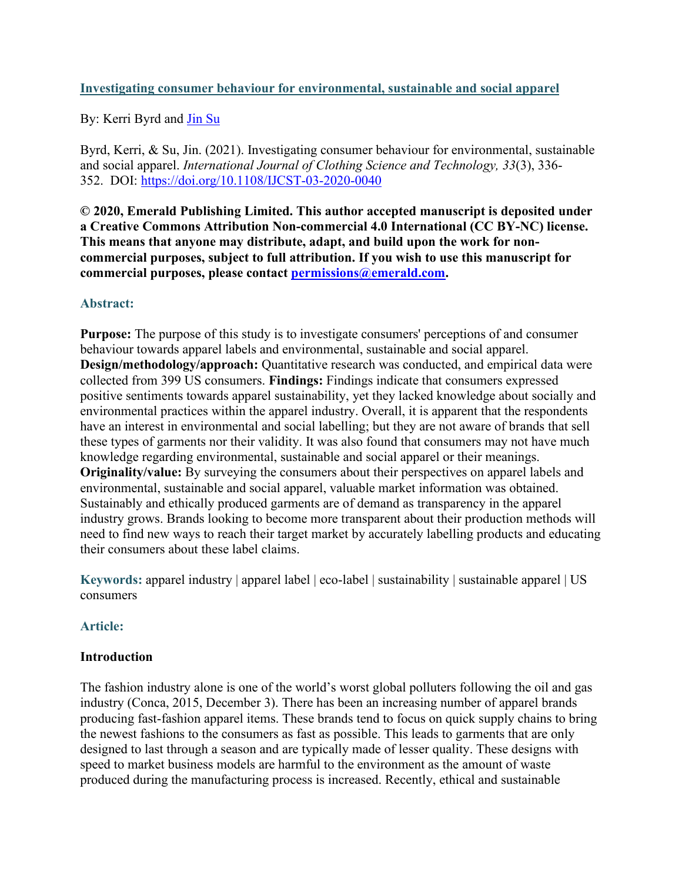# **Investigating consumer behaviour for environmental, sustainable and social apparel**

By: Kerri Byrd and [Jin Su](http://libres.uncg.edu/ir/uncg/clist.aspx?id=13707)

Byrd, Kerri, & Su, Jin. (2021). Investigating consumer behaviour for environmental, sustainable and social apparel. *International Journal of Clothing Science and Technology, 33*(3), 336- 352. DOI: <https://doi.org/10.1108/IJCST-03-2020-0040>

**© 2020, Emerald Publishing Limited. This author accepted manuscript is deposited under a Creative Commons Attribution Non-commercial 4.0 International (CC BY-NC) license. This means that anyone may distribute, adapt, and build upon the work for noncommercial purposes, subject to full attribution. If you wish to use this manuscript for commercial purposes, please contact [permissions@emerald.com.](mailto:permissions@emerald.com)**

# **Abstract:**

**Purpose:** The purpose of this study is to investigate consumers' perceptions of and consumer behaviour towards apparel labels and environmental, sustainable and social apparel. **Design/methodology/approach:** Quantitative research was conducted, and empirical data were collected from 399 US consumers. **Findings:** Findings indicate that consumers expressed positive sentiments towards apparel sustainability, yet they lacked knowledge about socially and environmental practices within the apparel industry. Overall, it is apparent that the respondents have an interest in environmental and social labelling; but they are not aware of brands that sell these types of garments nor their validity. It was also found that consumers may not have much knowledge regarding environmental, sustainable and social apparel or their meanings. **Originality/value:** By surveying the consumers about their perspectives on apparel labels and environmental, sustainable and social apparel, valuable market information was obtained. Sustainably and ethically produced garments are of demand as transparency in the apparel industry grows. Brands looking to become more transparent about their production methods will need to find new ways to reach their target market by accurately labelling products and educating their consumers about these label claims.

**Keywords:** apparel industry | apparel label | eco-label | sustainability | sustainable apparel | US consumers

# **Article:**

# **Introduction**

The fashion industry alone is one of the world's worst global polluters following the oil and gas industry (Conca, 2015, December 3). There has been an increasing number of apparel brands producing fast-fashion apparel items. These brands tend to focus on quick supply chains to bring the newest fashions to the consumers as fast as possible. This leads to garments that are only designed to last through a season and are typically made of lesser quality. These designs with speed to market business models are harmful to the environment as the amount of waste produced during the manufacturing process is increased. Recently, ethical and sustainable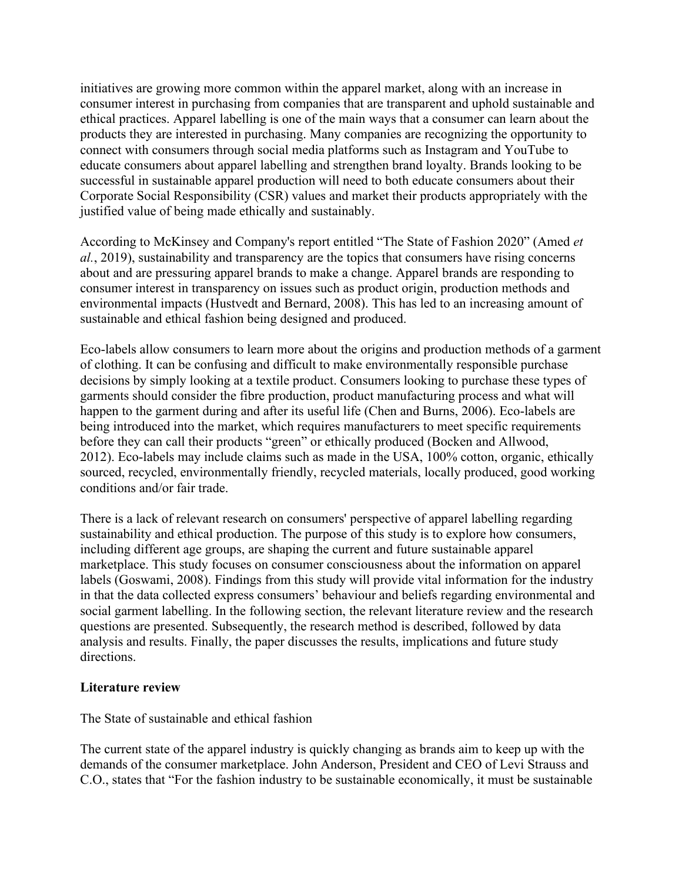initiatives are growing more common within the apparel market, along with an increase in consumer interest in purchasing from companies that are transparent and uphold sustainable and ethical practices. Apparel labelling is one of the main ways that a consumer can learn about the products they are interested in purchasing. Many companies are recognizing the opportunity to connect with consumers through social media platforms such as Instagram and YouTube to educate consumers about apparel labelling and strengthen brand loyalty. Brands looking to be successful in sustainable apparel production will need to both educate consumers about their Corporate Social Responsibility (CSR) values and market their products appropriately with the justified value of being made ethically and sustainably.

According to McKinsey and Company's report entitled "The State of Fashion 2020" (Amed *et al.*, 2019), sustainability and transparency are the topics that consumers have rising concerns about and are pressuring apparel brands to make a change. Apparel brands are responding to consumer interest in transparency on issues such as product origin, production methods and environmental impacts (Hustvedt and Bernard, 2008). This has led to an increasing amount of sustainable and ethical fashion being designed and produced.

Eco-labels allow consumers to learn more about the origins and production methods of a garment of clothing. It can be confusing and difficult to make environmentally responsible purchase decisions by simply looking at a textile product. Consumers looking to purchase these types of garments should consider the fibre production, product manufacturing process and what will happen to the garment during and after its useful life (Chen and Burns, 2006). Eco-labels are being introduced into the market, which requires manufacturers to meet specific requirements before they can call their products "green" or ethically produced (Bocken and Allwood, 2012). Eco-labels may include claims such as made in the USA, 100% cotton, organic, ethically sourced, recycled, environmentally friendly, recycled materials, locally produced, good working conditions and/or fair trade.

There is a lack of relevant research on consumers' perspective of apparel labelling regarding sustainability and ethical production. The purpose of this study is to explore how consumers, including different age groups, are shaping the current and future sustainable apparel marketplace. This study focuses on consumer consciousness about the information on apparel labels (Goswami, 2008). Findings from this study will provide vital information for the industry in that the data collected express consumers' behaviour and beliefs regarding environmental and social garment labelling. In the following section, the relevant literature review and the research questions are presented. Subsequently, the research method is described, followed by data analysis and results. Finally, the paper discusses the results, implications and future study directions.

#### **Literature review**

The State of sustainable and ethical fashion

The current state of the apparel industry is quickly changing as brands aim to keep up with the demands of the consumer marketplace. John Anderson, President and CEO of Levi Strauss and C.O., states that "For the fashion industry to be sustainable economically, it must be sustainable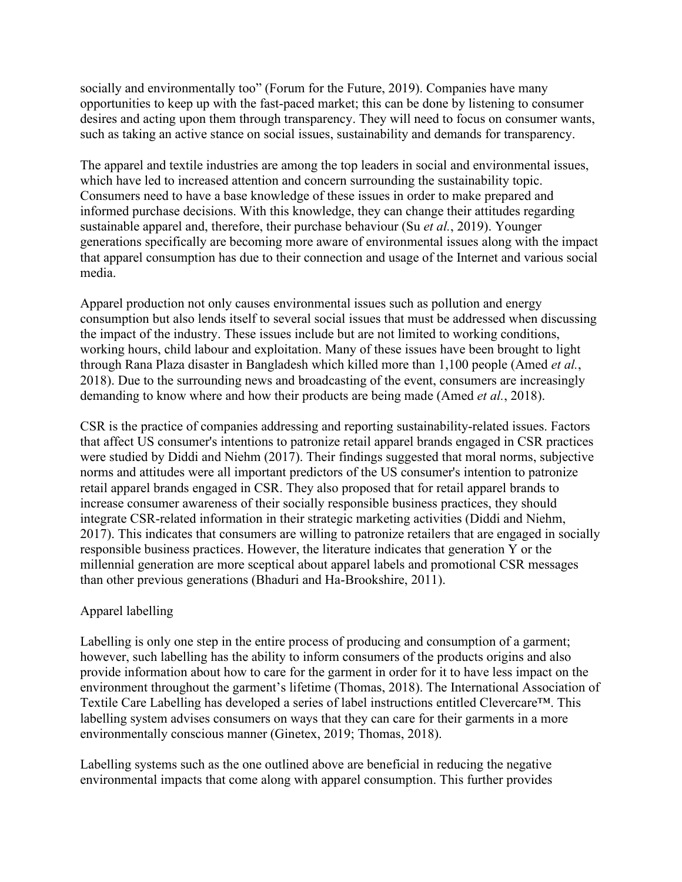socially and environmentally too" (Forum for the Future, 2019). Companies have many opportunities to keep up with the fast-paced market; this can be done by listening to consumer desires and acting upon them through transparency. They will need to focus on consumer wants, such as taking an active stance on social issues, sustainability and demands for transparency.

The apparel and textile industries are among the top leaders in social and environmental issues, which have led to increased attention and concern surrounding the sustainability topic. Consumers need to have a base knowledge of these issues in order to make prepared and informed purchase decisions. With this knowledge, they can change their attitudes regarding sustainable apparel and, therefore, their purchase behaviour (Su *et al.*, 2019). Younger generations specifically are becoming more aware of environmental issues along with the impact that apparel consumption has due to their connection and usage of the Internet and various social media.

Apparel production not only causes environmental issues such as pollution and energy consumption but also lends itself to several social issues that must be addressed when discussing the impact of the industry. These issues include but are not limited to working conditions, working hours, child labour and exploitation. Many of these issues have been brought to light through Rana Plaza disaster in Bangladesh which killed more than 1,100 people (Amed *et al.*, 2018). Due to the surrounding news and broadcasting of the event, consumers are increasingly demanding to know where and how their products are being made (Amed *et al.*, 2018).

CSR is the practice of companies addressing and reporting sustainability-related issues. Factors that affect US consumer's intentions to patronize retail apparel brands engaged in CSR practices were studied by Diddi and Niehm (2017). Their findings suggested that moral norms, subjective norms and attitudes were all important predictors of the US consumer's intention to patronize retail apparel brands engaged in CSR. They also proposed that for retail apparel brands to increase consumer awareness of their socially responsible business practices, they should integrate CSR-related information in their strategic marketing activities (Diddi and Niehm, 2017). This indicates that consumers are willing to patronize retailers that are engaged in socially responsible business practices. However, the literature indicates that generation Y or the millennial generation are more sceptical about apparel labels and promotional CSR messages than other previous generations (Bhaduri and Ha-Brookshire, 2011).

# Apparel labelling

Labelling is only one step in the entire process of producing and consumption of a garment; however, such labelling has the ability to inform consumers of the products origins and also provide information about how to care for the garment in order for it to have less impact on the environment throughout the garment's lifetime (Thomas, 2018). The International Association of Textile Care Labelling has developed a series of label instructions entitled Clevercare™. This labelling system advises consumers on ways that they can care for their garments in a more environmentally conscious manner (Ginetex, 2019; Thomas, 2018).

Labelling systems such as the one outlined above are beneficial in reducing the negative environmental impacts that come along with apparel consumption. This further provides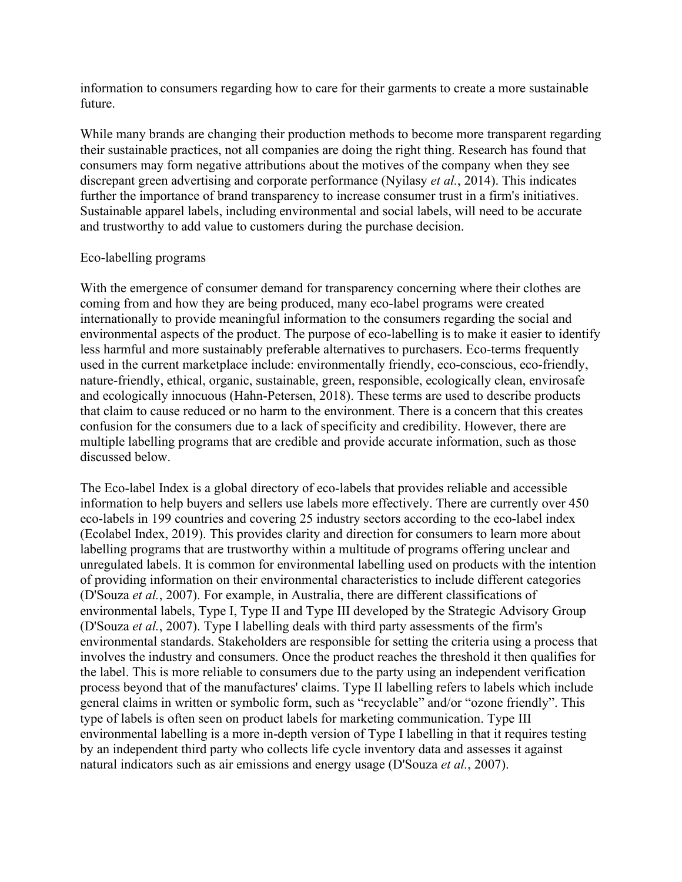information to consumers regarding how to care for their garments to create a more sustainable future.

While many brands are changing their production methods to become more transparent regarding their sustainable practices, not all companies are doing the right thing. Research has found that consumers may form negative attributions about the motives of the company when they see discrepant green advertising and corporate performance (Nyilasy *et al.*, 2014). This indicates further the importance of brand transparency to increase consumer trust in a firm's initiatives. Sustainable apparel labels, including environmental and social labels, will need to be accurate and trustworthy to add value to customers during the purchase decision.

### Eco-labelling programs

With the emergence of consumer demand for transparency concerning where their clothes are coming from and how they are being produced, many eco-label programs were created internationally to provide meaningful information to the consumers regarding the social and environmental aspects of the product. The purpose of eco-labelling is to make it easier to identify less harmful and more sustainably preferable alternatives to purchasers. Eco-terms frequently used in the current marketplace include: environmentally friendly, eco-conscious, eco-friendly, nature-friendly, ethical, organic, sustainable, green, responsible, ecologically clean, envirosafe and ecologically innocuous (Hahn-Petersen, 2018). These terms are used to describe products that claim to cause reduced or no harm to the environment. There is a concern that this creates confusion for the consumers due to a lack of specificity and credibility. However, there are multiple labelling programs that are credible and provide accurate information, such as those discussed below.

The Eco-label Index is a global directory of eco-labels that provides reliable and accessible information to help buyers and sellers use labels more effectively. There are currently over 450 eco-labels in 199 countries and covering 25 industry sectors according to the eco-label index (Ecolabel Index, 2019). This provides clarity and direction for consumers to learn more about labelling programs that are trustworthy within a multitude of programs offering unclear and unregulated labels. It is common for environmental labelling used on products with the intention of providing information on their environmental characteristics to include different categories (D'Souza *et al.*, 2007). For example, in Australia, there are different classifications of environmental labels, Type I, Type II and Type III developed by the Strategic Advisory Group (D'Souza *et al.*, 2007). Type I labelling deals with third party assessments of the firm's environmental standards. Stakeholders are responsible for setting the criteria using a process that involves the industry and consumers. Once the product reaches the threshold it then qualifies for the label. This is more reliable to consumers due to the party using an independent verification process beyond that of the manufactures' claims. Type II labelling refers to labels which include general claims in written or symbolic form, such as "recyclable" and/or "ozone friendly". This type of labels is often seen on product labels for marketing communication. Type III environmental labelling is a more in-depth version of Type I labelling in that it requires testing by an independent third party who collects life cycle inventory data and assesses it against natural indicators such as air emissions and energy usage (D'Souza *et al.*, 2007).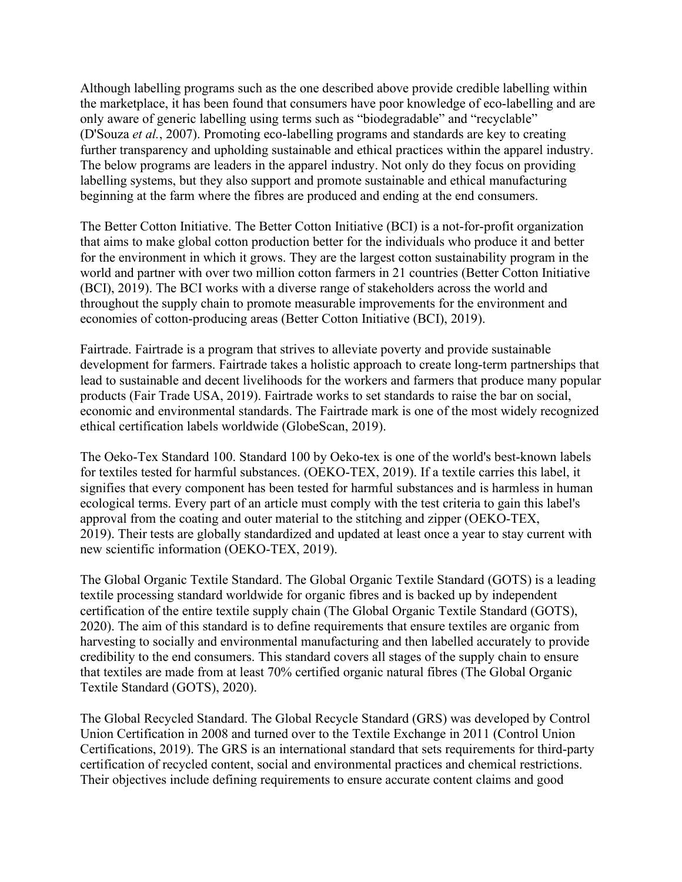Although labelling programs such as the one described above provide credible labelling within the marketplace, it has been found that consumers have poor knowledge of eco-labelling and are only aware of generic labelling using terms such as "biodegradable" and "recyclable" (D'Souza *et al.*, 2007). Promoting eco-labelling programs and standards are key to creating further transparency and upholding sustainable and ethical practices within the apparel industry. The below programs are leaders in the apparel industry. Not only do they focus on providing labelling systems, but they also support and promote sustainable and ethical manufacturing beginning at the farm where the fibres are produced and ending at the end consumers.

The Better Cotton Initiative. The Better Cotton Initiative (BCI) is a not-for-profit organization that aims to make global cotton production better for the individuals who produce it and better for the environment in which it grows. They are the largest cotton sustainability program in the world and partner with over two million cotton farmers in 21 countries (Better Cotton Initiative (BCI), 2019). The BCI works with a diverse range of stakeholders across the world and throughout the supply chain to promote measurable improvements for the environment and economies of cotton-producing areas (Better Cotton Initiative (BCI), 2019).

Fairtrade. Fairtrade is a program that strives to alleviate poverty and provide sustainable development for farmers. Fairtrade takes a holistic approach to create long-term partnerships that lead to sustainable and decent livelihoods for the workers and farmers that produce many popular products (Fair Trade USA, 2019). Fairtrade works to set standards to raise the bar on social, economic and environmental standards. The Fairtrade mark is one of the most widely recognized ethical certification labels worldwide (GlobeScan, 2019).

The Oeko-Tex Standard 100. Standard 100 by Oeko-tex is one of the world's best-known labels for textiles tested for harmful substances. (OEKO-TEX, 2019). If a textile carries this label, it signifies that every component has been tested for harmful substances and is harmless in human ecological terms. Every part of an article must comply with the test criteria to gain this label's approval from the coating and outer material to the stitching and zipper (OEKO-TEX, 2019). Their tests are globally standardized and updated at least once a year to stay current with new scientific information (OEKO-TEX, 2019).

The Global Organic Textile Standard. The Global Organic Textile Standard (GOTS) is a leading textile processing standard worldwide for organic fibres and is backed up by independent certification of the entire textile supply chain (The Global Organic Textile Standard (GOTS), 2020). The aim of this standard is to define requirements that ensure textiles are organic from harvesting to socially and environmental manufacturing and then labelled accurately to provide credibility to the end consumers. This standard covers all stages of the supply chain to ensure that textiles are made from at least 70% certified organic natural fibres (The Global Organic Textile Standard (GOTS), 2020).

The Global Recycled Standard. The Global Recycle Standard (GRS) was developed by Control Union Certification in 2008 and turned over to the Textile Exchange in 2011 (Control Union Certifications, 2019). The GRS is an international standard that sets requirements for third-party certification of recycled content, social and environmental practices and chemical restrictions. Their objectives include defining requirements to ensure accurate content claims and good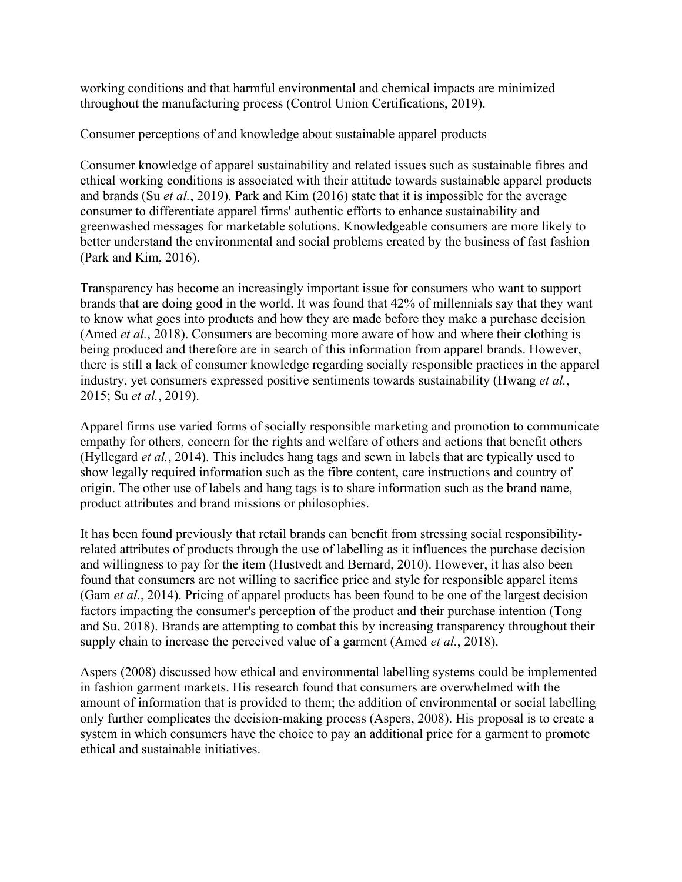working conditions and that harmful environmental and chemical impacts are minimized throughout the manufacturing process (Control Union Certifications, 2019).

Consumer perceptions of and knowledge about sustainable apparel products

Consumer knowledge of apparel sustainability and related issues such as sustainable fibres and ethical working conditions is associated with their attitude towards sustainable apparel products and brands (Su *et al.*, 2019). Park and Kim (2016) state that it is impossible for the average consumer to differentiate apparel firms' authentic efforts to enhance sustainability and greenwashed messages for marketable solutions. Knowledgeable consumers are more likely to better understand the environmental and social problems created by the business of fast fashion (Park and Kim, 2016).

Transparency has become an increasingly important issue for consumers who want to support brands that are doing good in the world. It was found that 42% of millennials say that they want to know what goes into products and how they are made before they make a purchase decision (Amed *et al.*, 2018). Consumers are becoming more aware of how and where their clothing is being produced and therefore are in search of this information from apparel brands. However, there is still a lack of consumer knowledge regarding socially responsible practices in the apparel industry, yet consumers expressed positive sentiments towards sustainability (Hwang *et al.*, 2015; Su *et al.*, 2019).

Apparel firms use varied forms of socially responsible marketing and promotion to communicate empathy for others, concern for the rights and welfare of others and actions that benefit others (Hyllegard *et al.*, 2014). This includes hang tags and sewn in labels that are typically used to show legally required information such as the fibre content, care instructions and country of origin. The other use of labels and hang tags is to share information such as the brand name, product attributes and brand missions or philosophies.

It has been found previously that retail brands can benefit from stressing social responsibilityrelated attributes of products through the use of labelling as it influences the purchase decision and willingness to pay for the item (Hustvedt and Bernard, 2010). However, it has also been found that consumers are not willing to sacrifice price and style for responsible apparel items (Gam *et al.*, 2014). Pricing of apparel products has been found to be one of the largest decision factors impacting the consumer's perception of the product and their purchase intention (Tong and Su, 2018). Brands are attempting to combat this by increasing transparency throughout their supply chain to increase the perceived value of a garment (Amed *et al.*, 2018).

Aspers (2008) discussed how ethical and environmental labelling systems could be implemented in fashion garment markets. His research found that consumers are overwhelmed with the amount of information that is provided to them; the addition of environmental or social labelling only further complicates the decision-making process (Aspers, 2008). His proposal is to create a system in which consumers have the choice to pay an additional price for a garment to promote ethical and sustainable initiatives.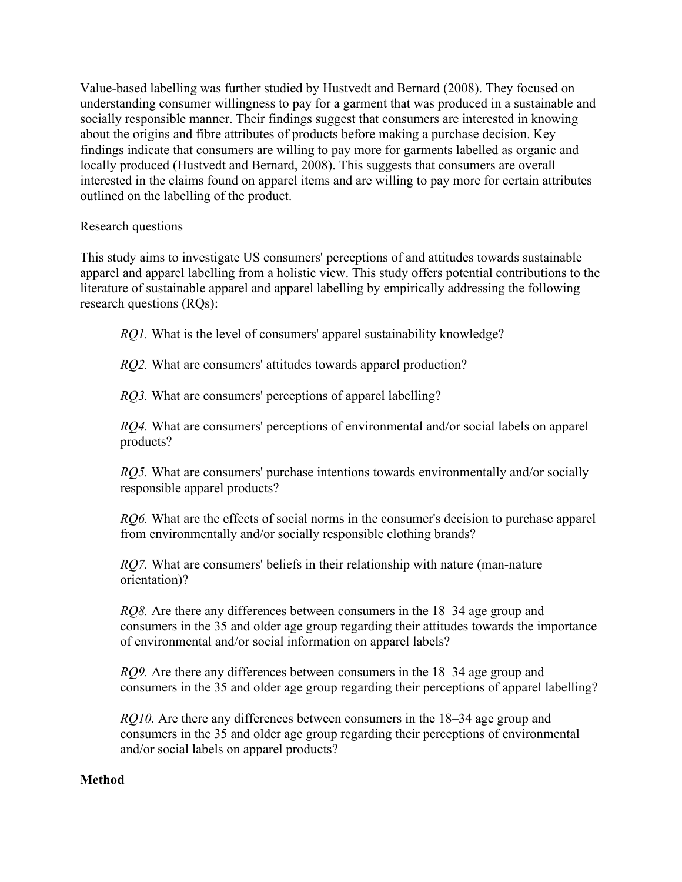Value-based labelling was further studied by Hustvedt and Bernard (2008). They focused on understanding consumer willingness to pay for a garment that was produced in a sustainable and socially responsible manner. Their findings suggest that consumers are interested in knowing about the origins and fibre attributes of products before making a purchase decision. Key findings indicate that consumers are willing to pay more for garments labelled as organic and locally produced (Hustvedt and Bernard, 2008). This suggests that consumers are overall interested in the claims found on apparel items and are willing to pay more for certain attributes outlined on the labelling of the product.

### Research questions

This study aims to investigate US consumers' perceptions of and attitudes towards sustainable apparel and apparel labelling from a holistic view. This study offers potential contributions to the literature of sustainable apparel and apparel labelling by empirically addressing the following research questions (RQs):

*RO1*. What is the level of consumers' apparel sustainability knowledge?

*RQ2.* What are consumers' attitudes towards apparel production?

*RQ3.* What are consumers' perceptions of apparel labelling?

*RQ4.* What are consumers' perceptions of environmental and/or social labels on apparel products?

*RQ5.* What are consumers' purchase intentions towards environmentally and/or socially responsible apparel products?

*RQ6.* What are the effects of social norms in the consumer's decision to purchase apparel from environmentally and/or socially responsible clothing brands?

*RQ7.* What are consumers' beliefs in their relationship with nature (man-nature orientation)?

*RQ8.* Are there any differences between consumers in the 18–34 age group and consumers in the 35 and older age group regarding their attitudes towards the importance of environmental and/or social information on apparel labels?

*RQ9.* Are there any differences between consumers in the 18–34 age group and consumers in the 35 and older age group regarding their perceptions of apparel labelling?

*RQ10.* Are there any differences between consumers in the 18–34 age group and consumers in the 35 and older age group regarding their perceptions of environmental and/or social labels on apparel products?

# **Method**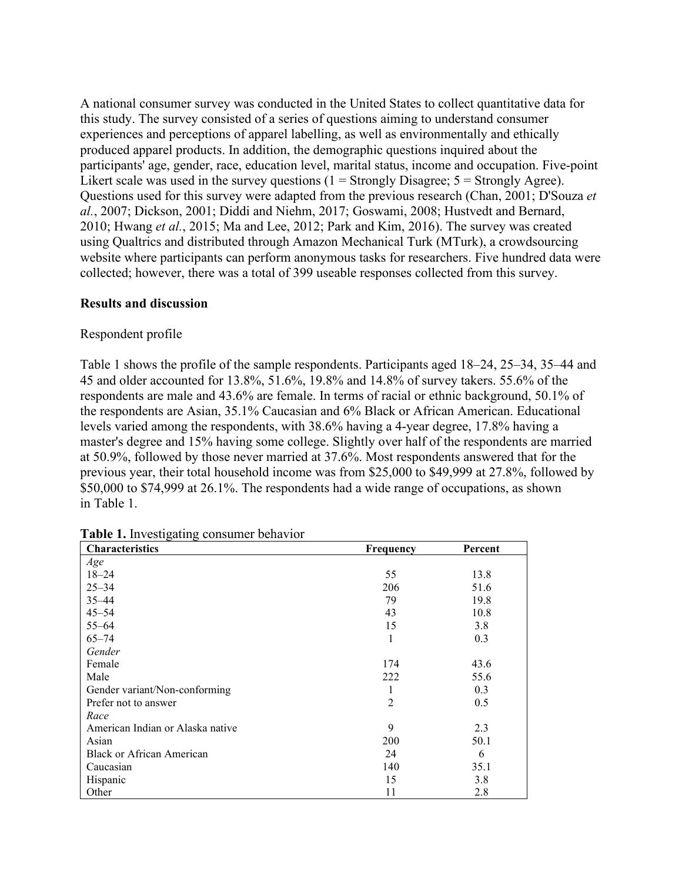A national consumer survey was conducted in the United States to collect quantitative data for this study. The survey consisted of a series of questions aiming to understand consumer experiences and perceptions of apparel labelling, as well as environmentally and ethically produced apparel products. In addition, the demographic questions inquired about the participants' age, gender, race, education level, marital status, income and occupation. Five-point Likert scale was used in the survey questions  $(1 =$  Strongly Disagree;  $5 =$  Strongly Agree). Questions used for this survey were adapted from the previous research (Chan, 2001; D'Souza *et al.*, 2007; Dickson, 2001; Diddi and Niehm, 2017; Goswami, 2008; Hustvedt and Bernard, 2010; Hwang *et al.*, 2015; Ma and Lee, 2012; Park and Kim, 2016). The survey was created using Qualtrics and distributed through Amazon Mechanical Turk (MTurk), a crowdsourcing website where participants can perform anonymous tasks for researchers. Five hundred data were collected; however, there was a total of 399 useable responses collected from this survey.

#### **Results and discussion**

### Respondent profile

Table 1 shows the profile of the sample respondents. Participants aged 18–24, 25–34, 35–44 and 45 and older accounted for 13.8%, 51.6%, 19.8% and 14.8% of survey takers. 55.6% of the respondents are male and 43.6% are female. In terms of racial or ethnic background, 50.1% of the respondents are Asian, 35.1% Caucasian and 6% Black or African American. Educational levels varied among the respondents, with 38.6% having a 4-year degree, 17.8% having a master's degree and 15% having some college. Slightly over half of the respondents are married at 50.9%, followed by those never married at 37.6%. Most respondents answered that for the previous year, their total household income was from \$25,000 to \$49,999 at 27.8%, followed by \$50,000 to \$74,999 at 26.1%. The respondents had a wide range of occupations, as shown in Table 1.

| <b>Characteristics</b>           | <b>Frequency</b> | Percent |
|----------------------------------|------------------|---------|
| Age                              |                  |         |
| $18 - 24$                        | 55               | 13.8    |
| $25 - 34$                        | 206              | 51.6    |
| $35 - 44$                        | 79               | 19.8    |
| $45 - 54$                        | 43               | 10.8    |
| $55 - 64$                        | 15               | 3.8     |
| $65 - 74$                        | 1                | 0.3     |
| Gender                           |                  |         |
| Female                           | 174              | 43.6    |
| Male                             | 222              | 55.6    |
| Gender variant/Non-conforming    | -1               | 0.3     |
| Prefer not to answer             | $\overline{2}$   | 0.5     |
| Race                             |                  |         |
| American Indian or Alaska native | 9                | 2.3     |
| Asian                            | 200              | 50.1    |
| Black or African American        | 24               | 6       |
| Caucasian                        | 140              | 35.1    |
| Hispanic                         | 15               | 3.8     |
| Other                            | 11               | 2.8     |

**Table 1.** Investigating consumer behavior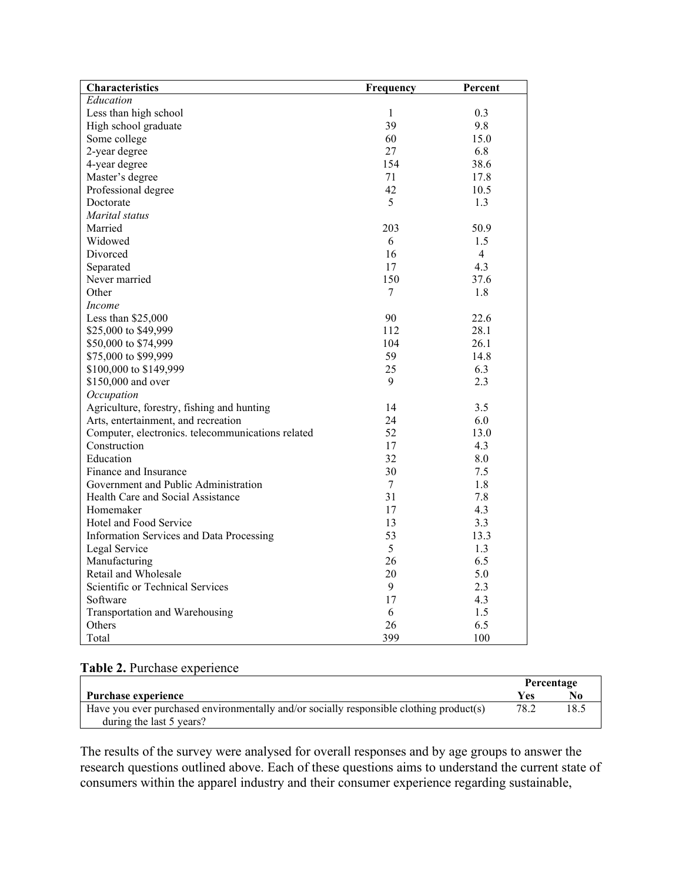| Characteristics                                   | Frequency    | Percent        |
|---------------------------------------------------|--------------|----------------|
| Education                                         |              |                |
| Less than high school                             | $\mathbf{1}$ | 0.3            |
| High school graduate                              | 39           | 9.8            |
| Some college                                      | 60           | 15.0           |
| 2-year degree                                     | 27           | 6.8            |
| 4-year degree                                     | 154          | 38.6           |
| Master's degree                                   | 71           | 17.8           |
| Professional degree                               | 42           | 10.5           |
| Doctorate                                         | 5            | 1.3            |
| Marital status                                    |              |                |
| Married                                           | 203          | 50.9           |
| Widowed                                           | 6            | 1.5            |
| Divorced                                          | 16           | $\overline{4}$ |
| Separated                                         | 17           | 4.3            |
| Never married                                     | 150          | 37.6           |
| Other                                             | 7            | 1.8            |
| <i>Income</i>                                     |              |                |
| Less than $$25,000$                               | 90           | 22.6           |
| \$25,000 to \$49,999                              | 112          | 28.1           |
| \$50,000 to \$74,999                              | 104          | 26.1           |
| \$75,000 to \$99,999                              | 59           | 14.8           |
| \$100,000 to \$149,999                            | 25           | 6.3            |
| \$150,000 and over                                | 9            | 2.3            |
| Occupation                                        |              |                |
| Agriculture, forestry, fishing and hunting        | 14           | 3.5            |
| Arts, entertainment, and recreation               | 24           | 6.0            |
| Computer, electronics. telecommunications related | 52           | 13.0           |
| Construction                                      | 17           | 4.3            |
| Education                                         | 32           | 8.0            |
| Finance and Insurance                             | 30           | 7.5            |
| Government and Public Administration              | 7            | 1.8            |
| Health Care and Social Assistance                 | 31           | 7.8            |
| Homemaker                                         | 17           | 4.3            |
| Hotel and Food Service                            | 13           | 3.3            |
| Information Services and Data Processing          | 53           | 13.3           |
| Legal Service                                     | 5            | 1.3            |
| Manufacturing                                     | 26           | 6.5            |
| Retail and Wholesale                              | 20           | 5.0            |
| Scientific or Technical Services                  | 9            | 2.3            |
| Software                                          | 17           | 4.3            |
| Transportation and Warehousing                    | 6            | 1.5            |
| Others                                            | 26           | 6.5            |
| Total                                             | 399          | 100            |

### **Table 2.** Purchase experience

|                                                                                         | Percentage |      |
|-----------------------------------------------------------------------------------------|------------|------|
| Purchase experience                                                                     | Yes        | No   |
| Have you ever purchased environmentally and/or socially responsible clothing product(s) | 78.2       | 18.5 |
| during the last 5 years?                                                                |            |      |

The results of the survey were analysed for overall responses and by age groups to answer the research questions outlined above. Each of these questions aims to understand the current state of consumers within the apparel industry and their consumer experience regarding sustainable,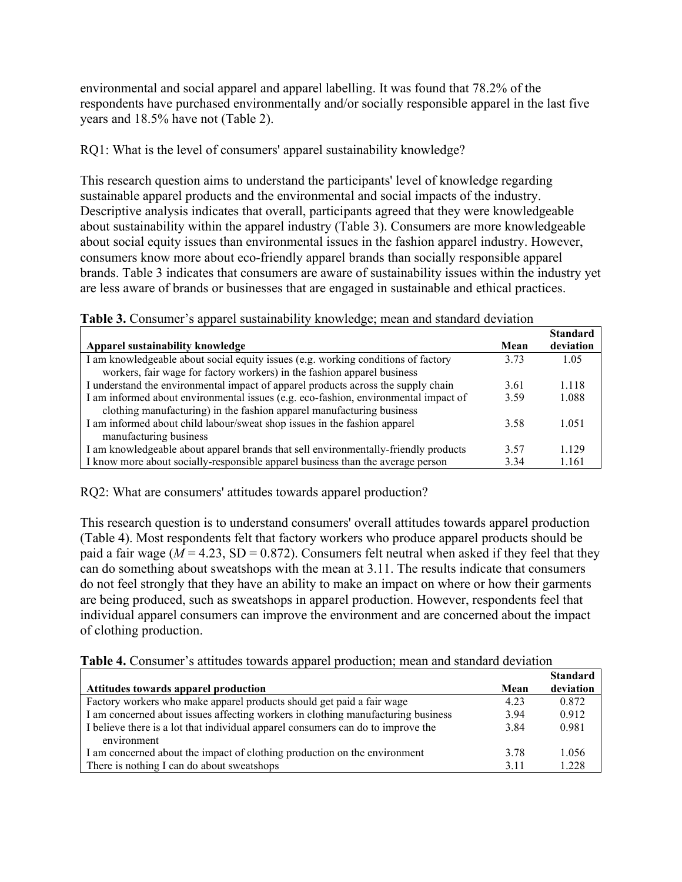environmental and social apparel and apparel labelling. It was found that 78.2% of the respondents have purchased environmentally and/or socially responsible apparel in the last five years and 18.5% have not (Table 2).

RQ1: What is the level of consumers' apparel sustainability knowledge?

This research question aims to understand the participants' level of knowledge regarding sustainable apparel products and the environmental and social impacts of the industry. Descriptive analysis indicates that overall, participants agreed that they were knowledgeable about sustainability within the apparel industry (Table 3). Consumers are more knowledgeable about social equity issues than environmental issues in the fashion apparel industry. However, consumers know more about eco-friendly apparel brands than socially responsible apparel brands. Table 3 indicates that consumers are aware of sustainability issues within the industry yet are less aware of brands or businesses that are engaged in sustainable and ethical practices.

|                                                                                     |      | <b>Standard</b> |
|-------------------------------------------------------------------------------------|------|-----------------|
| Apparel sustainability knowledge                                                    | Mean | deviation       |
| I am knowledgeable about social equity issues (e.g. working conditions of factory   | 3.73 | 1.05            |
| workers, fair wage for factory workers) in the fashion apparel business             |      |                 |
| I understand the environmental impact of apparel products across the supply chain   | 3.61 | 1.118           |
| I am informed about environmental issues (e.g. eco-fashion, environmental impact of | 3.59 | 1.088           |
| clothing manufacturing) in the fashion apparel manufacturing business               |      |                 |
| I am informed about child labour/sweat shop issues in the fashion apparel           | 3.58 | 1.051           |
| manufacturing business                                                              |      |                 |
| I am knowledgeable about apparel brands that sell environmentally-friendly products | 3.57 | 1.129           |
| I know more about socially-responsible apparel business than the average person     | 3.34 | 1.161           |

**Table 3.** Consumer's apparel sustainability knowledge; mean and standard deviation

RQ2: What are consumers' attitudes towards apparel production?

This research question is to understand consumers' overall attitudes towards apparel production (Table 4). Most respondents felt that factory workers who produce apparel products should be paid a fair wage ( $M = 4.23$ , SD = 0.872). Consumers felt neutral when asked if they feel that they can do something about sweatshops with the mean at 3.11. The results indicate that consumers do not feel strongly that they have an ability to make an impact on where or how their garments are being produced, such as sweatshops in apparel production. However, respondents feel that individual apparel consumers can improve the environment and are concerned about the impact of clothing production.

**Table 4.** Consumer's attitudes towards apparel production; mean and standard deviation

|                                                                                  |      | <b>Standard</b> |
|----------------------------------------------------------------------------------|------|-----------------|
| Attitudes towards apparel production                                             | Mean | deviation       |
| Factory workers who make apparel products should get paid a fair wage            | 4.23 | 0.872           |
| I am concerned about issues affecting workers in clothing manufacturing business | 3.94 | 0.912           |
| I believe there is a lot that individual apparel consumers can do to improve the | 3.84 | 0.981           |
| environment                                                                      |      |                 |
| I am concerned about the impact of clothing production on the environment        | 3.78 | 1.056           |
| There is nothing I can do about sweatshops                                       | 3.11 | 1.228           |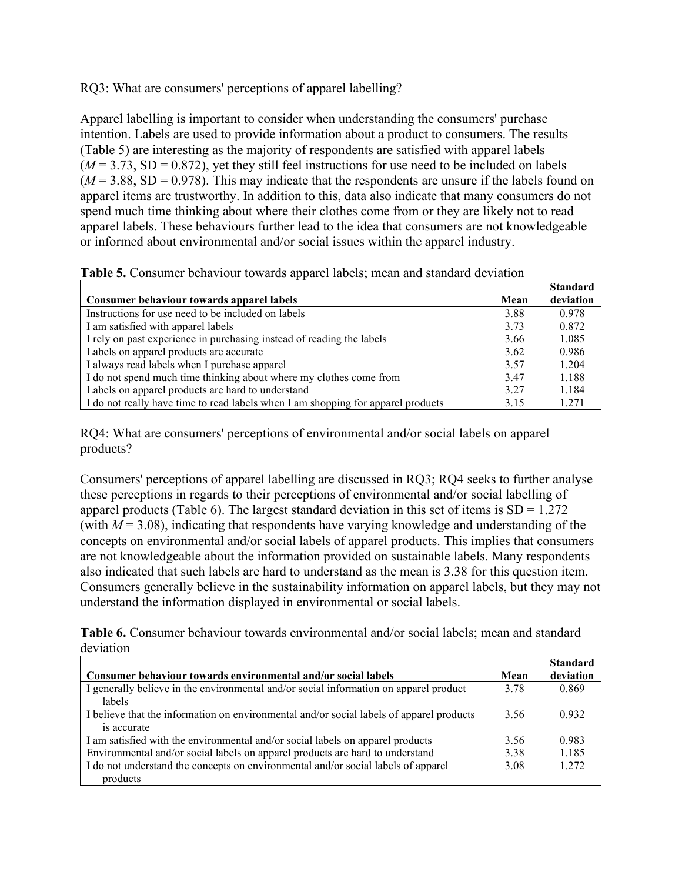RQ3: What are consumers' perceptions of apparel labelling?

Apparel labelling is important to consider when understanding the consumers' purchase intention. Labels are used to provide information about a product to consumers. The results (Table 5) are interesting as the majority of respondents are satisfied with apparel labels  $(M = 3.73, SD = 0.872)$ , yet they still feel instructions for use need to be included on labels  $(M = 3.88, SD = 0.978)$ . This may indicate that the respondents are unsure if the labels found on apparel items are trustworthy. In addition to this, data also indicate that many consumers do not spend much time thinking about where their clothes come from or they are likely not to read apparel labels. These behaviours further lead to the idea that consumers are not knowledgeable or informed about environmental and/or social issues within the apparel industry.

| Table 5. Consumer behaviour towards apparel labels; mean and standard deviation |  |  |
|---------------------------------------------------------------------------------|--|--|
|---------------------------------------------------------------------------------|--|--|

|                                                                                  |      | <b>Standard</b> |
|----------------------------------------------------------------------------------|------|-----------------|
| Consumer behaviour towards apparel labels                                        | Mean | deviation       |
| Instructions for use need to be included on labels                               | 3.88 | 0.978           |
| I am satisfied with apparel labels                                               | 3.73 | 0.872           |
| I rely on past experience in purchasing instead of reading the labels            | 3.66 | 1.085           |
| Labels on apparel products are accurate                                          | 3.62 | 0.986           |
| I always read labels when I purchase apparel                                     | 3.57 | 1.204           |
| I do not spend much time thinking about where my clothes come from               | 3.47 | 1.188           |
| Labels on apparel products are hard to understand                                | 3.27 | 1.184           |
| I do not really have time to read labels when I am shopping for apparel products | 3.15 | 1.271           |

RQ4: What are consumers' perceptions of environmental and/or social labels on apparel products?

Consumers' perceptions of apparel labelling are discussed in RQ3; RQ4 seeks to further analyse these perceptions in regards to their perceptions of environmental and/or social labelling of apparel products (Table 6). The largest standard deviation in this set of items is  $SD = 1.272$ (with  $M = 3.08$ ), indicating that respondents have varying knowledge and understanding of the concepts on environmental and/or social labels of apparel products. This implies that consumers are not knowledgeable about the information provided on sustainable labels. Many respondents also indicated that such labels are hard to understand as the mean is 3.38 for this question item. Consumers generally believe in the sustainability information on apparel labels, but they may not understand the information displayed in environmental or social labels.

**Table 6.** Consumer behaviour towards environmental and/or social labels; mean and standard deviation

|                                                                                          |      | <b>Standard</b> |
|------------------------------------------------------------------------------------------|------|-----------------|
| Consumer behaviour towards environmental and/or social labels                            | Mean | deviation       |
| I generally believe in the environmental and/or social information on apparel product    | 3.78 | 0.869           |
| labels                                                                                   |      |                 |
| I believe that the information on environmental and/or social labels of apparel products | 3.56 | 0.932           |
| is accurate                                                                              |      |                 |
| I am satisfied with the environmental and/or social labels on apparel products           | 3.56 | 0.983           |
| Environmental and/or social labels on apparel products are hard to understand            | 3.38 | 1.185           |
| I do not understand the concepts on environmental and/or social labels of apparel        | 3.08 | 1272            |
| products                                                                                 |      |                 |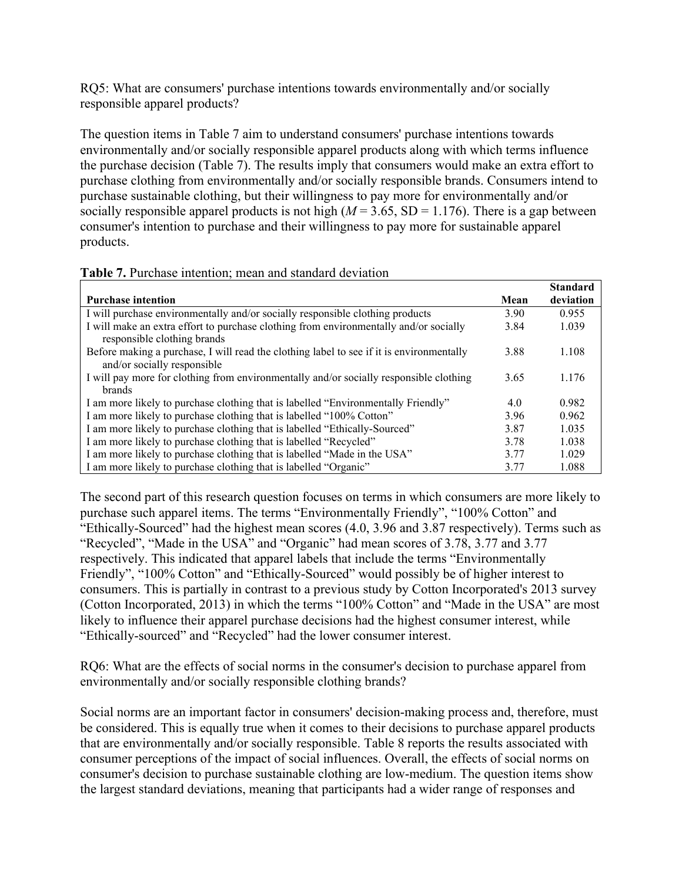RQ5: What are consumers' purchase intentions towards environmentally and/or socially responsible apparel products?

The question items in Table 7 aim to understand consumers' purchase intentions towards environmentally and/or socially responsible apparel products along with which terms influence the purchase decision (Table 7). The results imply that consumers would make an extra effort to purchase clothing from environmentally and/or socially responsible brands. Consumers intend to purchase sustainable clothing, but their willingness to pay more for environmentally and/or socially responsible apparel products is not high  $(M = 3.65, SD = 1.176)$ . There is a gap between consumer's intention to purchase and their willingness to pay more for sustainable apparel products.

|                                                                                                                         |      | <b>Standard</b> |
|-------------------------------------------------------------------------------------------------------------------------|------|-----------------|
| <b>Purchase intention</b>                                                                                               | Mean | deviation       |
| I will purchase environmentally and/or socially responsible clothing products                                           | 3.90 | 0.955           |
| I will make an extra effort to purchase clothing from environmentally and/or socially<br>responsible clothing brands    | 3.84 | 1.039           |
| Before making a purchase, I will read the clothing label to see if it is environmentally<br>and/or socially responsible | 3.88 | 1.108           |
| I will pay more for clothing from environmentally and/or socially responsible clothing<br><b>brands</b>                 | 3.65 | 1.176           |
| I am more likely to purchase clothing that is labelled "Environmentally Friendly"                                       | 4.0  | 0.982           |
| I am more likely to purchase clothing that is labelled "100% Cotton"                                                    | 3.96 | 0.962           |
| I am more likely to purchase clothing that is labelled "Ethically-Sourced"                                              | 3.87 | 1.035           |
| I am more likely to purchase clothing that is labelled "Recycled"                                                       | 3.78 | 1.038           |
| I am more likely to purchase clothing that is labelled "Made in the USA"                                                | 3.77 | 1.029           |
| I am more likely to purchase clothing that is labelled "Organic"                                                        | 3.77 | 1.088           |

**Table 7.** Purchase intention; mean and standard deviation

The second part of this research question focuses on terms in which consumers are more likely to purchase such apparel items. The terms "Environmentally Friendly", "100% Cotton" and "Ethically-Sourced" had the highest mean scores (4.0, 3.96 and 3.87 respectively). Terms such as "Recycled", "Made in the USA" and "Organic" had mean scores of 3.78, 3.77 and 3.77 respectively. This indicated that apparel labels that include the terms "Environmentally Friendly", "100% Cotton" and "Ethically-Sourced" would possibly be of higher interest to consumers. This is partially in contrast to a previous study by Cotton Incorporated's 2013 survey (Cotton Incorporated, 2013) in which the terms "100% Cotton" and "Made in the USA" are most likely to influence their apparel purchase decisions had the highest consumer interest, while "Ethically-sourced" and "Recycled" had the lower consumer interest.

RQ6: What are the effects of social norms in the consumer's decision to purchase apparel from environmentally and/or socially responsible clothing brands?

Social norms are an important factor in consumers' decision-making process and, therefore, must be considered. This is equally true when it comes to their decisions to purchase apparel products that are environmentally and/or socially responsible. Table 8 reports the results associated with consumer perceptions of the impact of social influences. Overall, the effects of social norms on consumer's decision to purchase sustainable clothing are low-medium. The question items show the largest standard deviations, meaning that participants had a wider range of responses and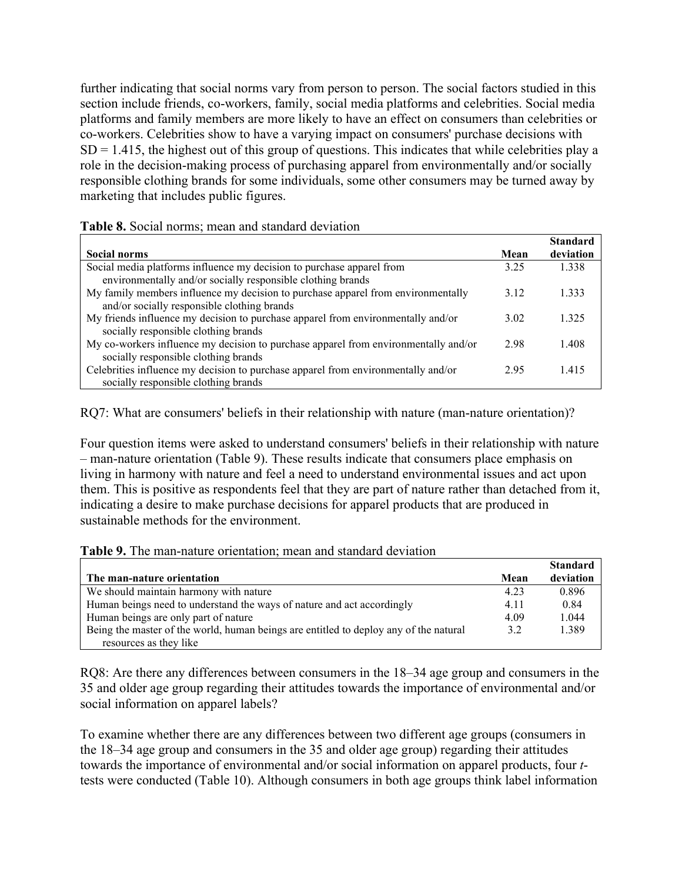further indicating that social norms vary from person to person. The social factors studied in this section include friends, co-workers, family, social media platforms and celebrities. Social media platforms and family members are more likely to have an effect on consumers than celebrities or co-workers. Celebrities show to have a varying impact on consumers' purchase decisions with  $SD = 1.415$ , the highest out of this group of questions. This indicates that while celebrities play a role in the decision-making process of purchasing apparel from environmentally and/or socially responsible clothing brands for some individuals, some other consumers may be turned away by marketing that includes public figures.

| Table 8. Social norms; mean and standard deviation |  |
|----------------------------------------------------|--|
|----------------------------------------------------|--|

|                                                                                     |      | <b>Standard</b> |
|-------------------------------------------------------------------------------------|------|-----------------|
| <b>Social norms</b>                                                                 | Mean | deviation       |
| Social media platforms influence my decision to purchase apparel from               | 3.25 | 1.338           |
| environmentally and/or socially responsible clothing brands                         |      |                 |
| My family members influence my decision to purchase apparel from environmentally    | 3.12 | 1.333           |
| and/or socially responsible clothing brands                                         |      |                 |
| My friends influence my decision to purchase apparel from environmentally and/or    | 3.02 | 1.325           |
| socially responsible clothing brands                                                |      |                 |
| My co-workers influence my decision to purchase apparel from environmentally and/or | 2.98 | 1.408           |
| socially responsible clothing brands                                                |      |                 |
| Celebrities influence my decision to purchase apparel from environmentally and/or   | 2.95 | 1.415           |
| socially responsible clothing brands                                                |      |                 |

RQ7: What are consumers' beliefs in their relationship with nature (man-nature orientation)?

Four question items were asked to understand consumers' beliefs in their relationship with nature – man-nature orientation (Table 9). These results indicate that consumers place emphasis on living in harmony with nature and feel a need to understand environmental issues and act upon them. This is positive as respondents feel that they are part of nature rather than detached from it, indicating a desire to make purchase decisions for apparel products that are produced in sustainable methods for the environment.

**Table 9.** The man-nature orientation; mean and standard deviation

|                                                                                       |      | <b>Standard</b> |
|---------------------------------------------------------------------------------------|------|-----------------|
| The man-nature orientation                                                            | Mean | deviation       |
| We should maintain harmony with nature                                                | 4.23 | 0.896           |
| Human beings need to understand the ways of nature and act accordingly                | 4.11 | 0.84            |
| Human beings are only part of nature                                                  | 4.09 | 1.044           |
| Being the master of the world, human beings are entitled to deploy any of the natural | 3.2  | 1.389           |
| resources as they like                                                                |      |                 |

RQ8: Are there any differences between consumers in the 18–34 age group and consumers in the 35 and older age group regarding their attitudes towards the importance of environmental and/or social information on apparel labels?

To examine whether there are any differences between two different age groups (consumers in the 18–34 age group and consumers in the 35 and older age group) regarding their attitudes towards the importance of environmental and/or social information on apparel products, four *t*tests were conducted (Table 10). Although consumers in both age groups think label information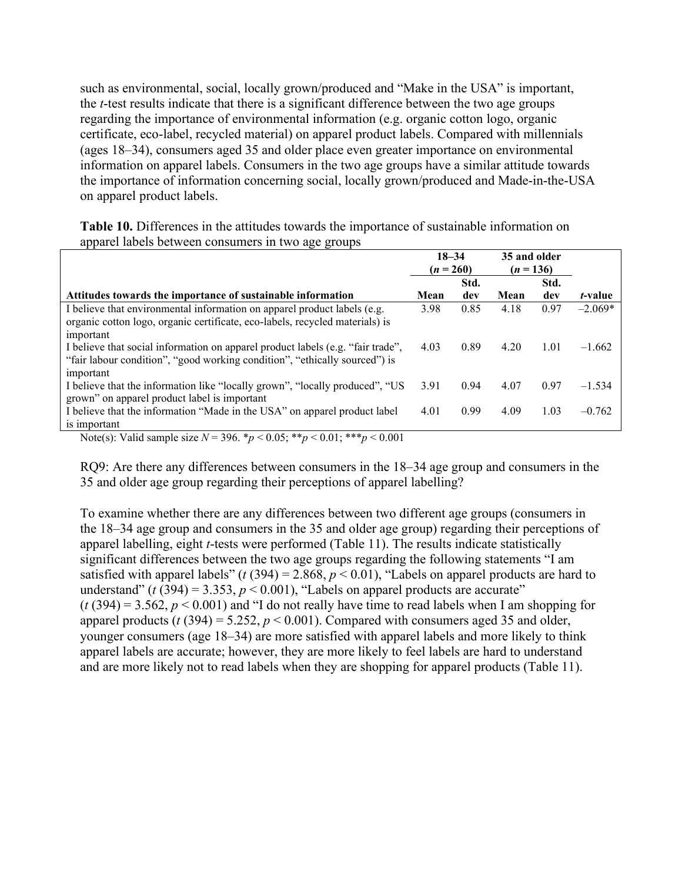such as environmental, social, locally grown/produced and "Make in the USA" is important, the *t*-test results indicate that there is a significant difference between the two age groups regarding the importance of environmental information (e.g. organic cotton logo, organic certificate, eco-label, recycled material) on apparel product labels. Compared with millennials (ages 18–34), consumers aged 35 and older place even greater importance on environmental information on apparel labels. Consumers in the two age groups have a similar attitude towards the importance of information concerning social, locally grown/produced and Made-in-the-USA on apparel product labels.

| Table 10. Differences in the attitudes towards the importance of sustainable information on |
|---------------------------------------------------------------------------------------------|
| apparel labels between consumers in two age groups                                          |

|                                                                                 | $18 - 34$   |      | 35 and older |      |                 |
|---------------------------------------------------------------------------------|-------------|------|--------------|------|-----------------|
|                                                                                 | $(n = 260)$ |      | $(n = 136)$  |      |                 |
|                                                                                 |             | Std. |              | Std. |                 |
| Attitudes towards the importance of sustainable information                     | Mean        | dev  | Mean         | dev  | <i>t</i> -value |
| I believe that environmental information on apparel product labels (e.g.        | 3.98        | 0.85 | 4.18         | 0.97 | $-2.069*$       |
| organic cotton logo, organic certificate, eco-labels, recycled materials) is    |             |      |              |      |                 |
| important                                                                       |             |      |              |      |                 |
| I believe that social information on apparel product labels (e.g. "fair trade", | 4.03        | 0.89 | 4.20         | 1.01 | $-1.662$        |
| "fair labour condition", "good working condition", "ethically sourced") is      |             |      |              |      |                 |
| important                                                                       |             |      |              |      |                 |
| I believe that the information like "locally grown", "locally produced", "US    | 3.91        | 0.94 | 4.07         | 0.97 | $-1.534$        |
| grown" on apparel product label is important                                    |             |      |              |      |                 |
| I believe that the information "Made in the USA" on apparel product label       | 4.01        | 0.99 | 4.09         | 1.03 | $-0.762$        |
| is important                                                                    |             |      |              |      |                 |
| .<br>.<br>.                                                                     |             |      |              |      |                 |

Note(s): Valid sample size *N* = 396. \**p* < 0.05; \*\**p* < 0.01; \*\*\**p* < 0.001

RQ9: Are there any differences between consumers in the 18–34 age group and consumers in the 35 and older age group regarding their perceptions of apparel labelling?

To examine whether there are any differences between two different age groups (consumers in the 18–34 age group and consumers in the 35 and older age group) regarding their perceptions of apparel labelling, eight *t*-tests were performed (Table 11). The results indicate statistically significant differences between the two age groups regarding the following statements "I am satisfied with apparel labels" ( $t$  (394) = 2.868,  $p$  < 0.01), "Labels on apparel products are hard to understand" ( $t$  (394) = 3.353,  $p$  < 0.001), "Labels on apparel products are accurate"  $(t(394) = 3.562, p < 0.001)$  and "I do not really have time to read labels when I am shopping for apparel products ( $t$  (394) = 5.252,  $p$  < 0.001). Compared with consumers aged 35 and older, younger consumers (age 18–34) are more satisfied with apparel labels and more likely to think apparel labels are accurate; however, they are more likely to feel labels are hard to understand and are more likely not to read labels when they are shopping for apparel products (Table 11).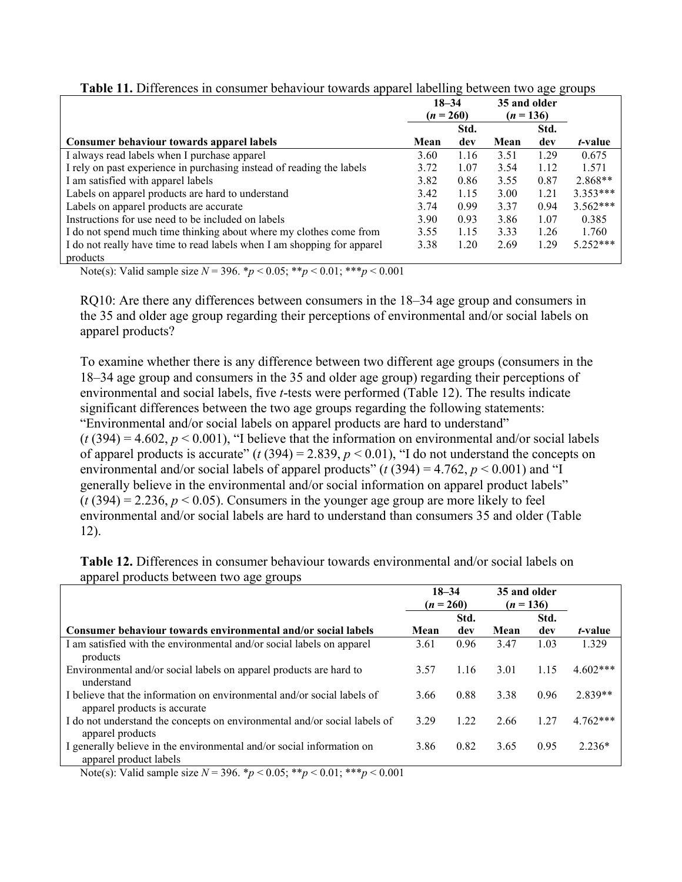|                                                                         | $18 - 34$<br>$(n = 260)$ |      | 35 and older<br>$(n=136)$ |      |                 |
|-------------------------------------------------------------------------|--------------------------|------|---------------------------|------|-----------------|
|                                                                         | Std.                     |      |                           | Std. |                 |
| Consumer behaviour towards apparel labels                               | Mean                     | dev  | Mean                      | dev  | <i>t</i> -value |
| I always read labels when I purchase apparel                            | 3.60                     | 1.16 | 3.51                      | 1.29 | 0.675           |
| I rely on past experience in purchasing instead of reading the labels   | 3.72                     | 1.07 | 3.54                      | 1.12 | 1.571           |
| I am satisfied with apparel labels                                      | 3.82                     | 0.86 | 3.55                      | 0.87 | $2.868**$       |
| Labels on apparel products are hard to understand                       | 3.42                     | 1.15 | 3.00                      | 1.21 | $3.353***$      |
| Labels on apparel products are accurate                                 | 3.74                     | 0.99 | 3.37                      | 0.94 | $3.562***$      |
| Instructions for use need to be included on labels                      | 3.90                     | 0.93 | 3.86                      | 1.07 | 0.385           |
| I do not spend much time thinking about where my clothes come from      | 3.55                     | 1.15 | 3.33                      | 1.26 | 1.760           |
| I do not really have time to read labels when I am shopping for apparel | 3.38                     | 1.20 | 2.69                      | 1.29 | $5.252***$      |
| products                                                                |                          |      |                           |      |                 |

| Table 11. Differences in consumer behaviour towards apparel labelling between two age groups |  |  |  |  |  |  |  |  |  |  |
|----------------------------------------------------------------------------------------------|--|--|--|--|--|--|--|--|--|--|
|----------------------------------------------------------------------------------------------|--|--|--|--|--|--|--|--|--|--|

Note(s): Valid sample size *N* = 396. \**p* < 0.05; \*\**p* < 0.01; \*\*\**p* < 0.001

RQ10: Are there any differences between consumers in the 18–34 age group and consumers in the 35 and older age group regarding their perceptions of environmental and/or social labels on apparel products?

To examine whether there is any difference between two different age groups (consumers in the 18–34 age group and consumers in the 35 and older age group) regarding their perceptions of environmental and social labels, five *t*-tests were performed (Table 12). The results indicate significant differences between the two age groups regarding the following statements: "Environmental and/or social labels on apparel products are hard to understand"  $(t(394) = 4.602, p < 0.001)$ , "I believe that the information on environmental and/or social labels of apparel products is accurate"  $(t (394) = 2.839, p < 0.01)$ , "I do not understand the concepts on environmental and/or social labels of apparel products" ( $t$  (394) = 4.762,  $p$  < 0.001) and "I generally believe in the environmental and/or social information on apparel product labels"  $(t (394) = 2.236, p < 0.05)$ . Consumers in the younger age group are more likely to feel environmental and/or social labels are hard to understand than consumers 35 and older (Table 12).

|                                                                                                         | $18 - 34$<br>$(n = 260)$ |      | 35 and older<br>$(n = 136)$ |      |                 |
|---------------------------------------------------------------------------------------------------------|--------------------------|------|-----------------------------|------|-----------------|
|                                                                                                         |                          | Std. |                             | Std. |                 |
| Consumer behaviour towards environmental and/or social labels                                           | Mean                     | dev  | Mean                        | dev  | <i>t</i> -value |
| I am satisfied with the environmental and/or social labels on apparel<br>products                       | 3.61                     | 0.96 | 3.47                        | 1.03 | 1.329           |
| Environmental and/or social labels on apparel products are hard to<br>understand                        | 3.57                     | 1.16 | 3.01                        | 1.15 | $4.602***$      |
| I believe that the information on environmental and/or social labels of<br>apparel products is accurate | 3.66                     | 0.88 | 3.38                        | 0.96 | $2.839**$       |
| I do not understand the concepts on environmental and/or social labels of<br>apparel products           | 3.29                     | 1.22 | 2.66                        | 1.27 | $4.762***$      |
| I generally believe in the environmental and/or social information on<br>apparel product labels         | 3.86                     | 0.82 | 3.65                        | 0.95 | $2.236*$        |

**Table 12.** Differences in consumer behaviour towards environmental and/or social labels on apparel products between two age groups

Note(s): Valid sample size *N* = 396. \**p* < 0.05; \*\**p* < 0.01; \*\*\**p* < 0.001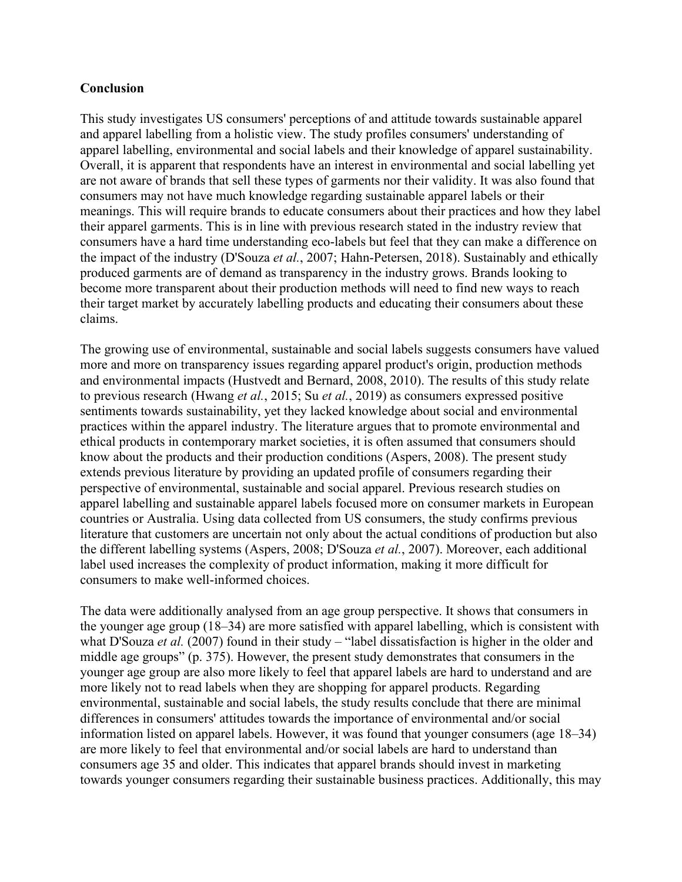### **Conclusion**

This study investigates US consumers' perceptions of and attitude towards sustainable apparel and apparel labelling from a holistic view. The study profiles consumers' understanding of apparel labelling, environmental and social labels and their knowledge of apparel sustainability. Overall, it is apparent that respondents have an interest in environmental and social labelling yet are not aware of brands that sell these types of garments nor their validity. It was also found that consumers may not have much knowledge regarding sustainable apparel labels or their meanings. This will require brands to educate consumers about their practices and how they label their apparel garments. This is in line with previous research stated in the industry review that consumers have a hard time understanding eco-labels but feel that they can make a difference on the impact of the industry (D'Souza *et al.*, 2007; Hahn-Petersen, 2018). Sustainably and ethically produced garments are of demand as transparency in the industry grows. Brands looking to become more transparent about their production methods will need to find new ways to reach their target market by accurately labelling products and educating their consumers about these claims.

The growing use of environmental, sustainable and social labels suggests consumers have valued more and more on transparency issues regarding apparel product's origin, production methods and environmental impacts (Hustvedt and Bernard, 2008, 2010). The results of this study relate to previous research (Hwang *et al.*, 2015; Su *et al.*, 2019) as consumers expressed positive sentiments towards sustainability, yet they lacked knowledge about social and environmental practices within the apparel industry. The literature argues that to promote environmental and ethical products in contemporary market societies, it is often assumed that consumers should know about the products and their production conditions (Aspers, 2008). The present study extends previous literature by providing an updated profile of consumers regarding their perspective of environmental, sustainable and social apparel. Previous research studies on apparel labelling and sustainable apparel labels focused more on consumer markets in European countries or Australia. Using data collected from US consumers, the study confirms previous literature that customers are uncertain not only about the actual conditions of production but also the different labelling systems (Aspers, 2008; D'Souza *et al.*, 2007). Moreover, each additional label used increases the complexity of product information, making it more difficult for consumers to make well-informed choices.

The data were additionally analysed from an age group perspective. It shows that consumers in the younger age group (18–34) are more satisfied with apparel labelling, which is consistent with what D'Souza *et al.* (2007) found in their study – "label dissatisfaction is higher in the older and middle age groups" (p. 375). However, the present study demonstrates that consumers in the younger age group are also more likely to feel that apparel labels are hard to understand and are more likely not to read labels when they are shopping for apparel products. Regarding environmental, sustainable and social labels, the study results conclude that there are minimal differences in consumers' attitudes towards the importance of environmental and/or social information listed on apparel labels. However, it was found that younger consumers (age 18–34) are more likely to feel that environmental and/or social labels are hard to understand than consumers age 35 and older. This indicates that apparel brands should invest in marketing towards younger consumers regarding their sustainable business practices. Additionally, this may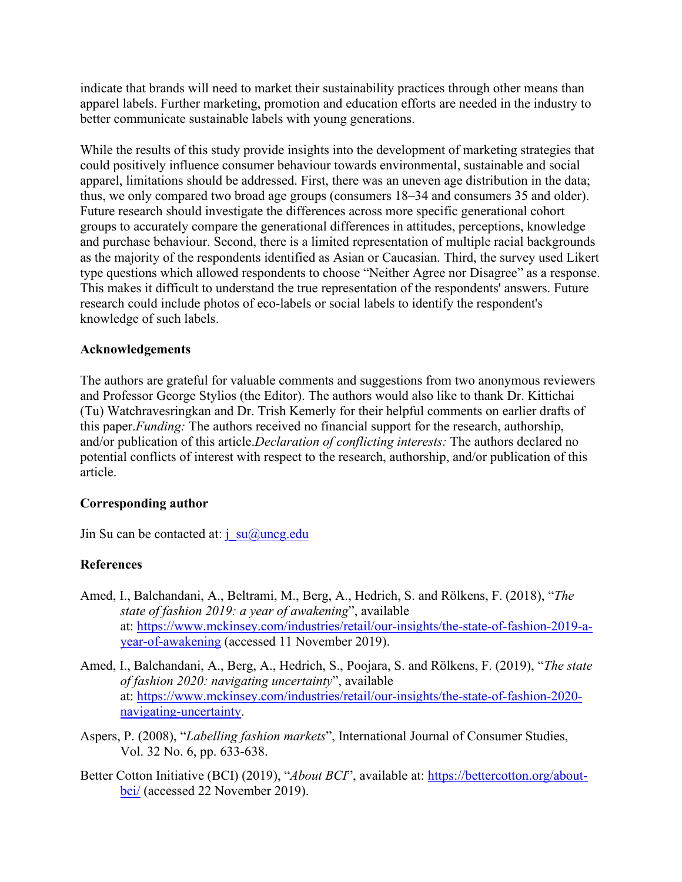indicate that brands will need to market their sustainability practices through other means than apparel labels. Further marketing, promotion and education efforts are needed in the industry to better communicate sustainable labels with young generations.

While the results of this study provide insights into the development of marketing strategies that could positively influence consumer behaviour towards environmental, sustainable and social apparel, limitations should be addressed. First, there was an uneven age distribution in the data; thus, we only compared two broad age groups (consumers 18–34 and consumers 35 and older). Future research should investigate the differences across more specific generational cohort groups to accurately compare the generational differences in attitudes, perceptions, knowledge and purchase behaviour. Second, there is a limited representation of multiple racial backgrounds as the majority of the respondents identified as Asian or Caucasian. Third, the survey used Likert type questions which allowed respondents to choose "Neither Agree nor Disagree" as a response. This makes it difficult to understand the true representation of the respondents' answers. Future research could include photos of eco-labels or social labels to identify the respondent's knowledge of such labels.

### **Acknowledgements**

The authors are grateful for valuable comments and suggestions from two anonymous reviewers and Professor George Stylios (the Editor). The authors would also like to thank Dr. Kittichai (Tu) Watchravesringkan and Dr. Trish Kemerly for their helpful comments on earlier drafts of this paper.*Funding:* The authors received no financial support for the research, authorship, and/or publication of this article.*Declaration of conflicting interests:* The authors declared no potential conflicts of interest with respect to the research, authorship, and/or publication of this article.

# **Corresponding author**

Jin Su can be contacted at: [j\\_su@uncg.edu](mailto:j_su@uncg.edu)

# **References**

- Amed, I., Balchandani, A., Beltrami, M., Berg, A., Hedrich, S. and Rölkens, F. (2018), "*The state of fashion 2019: a year of awakening*", available at: [https://www.mckinsey.com/industries/retail/our-insights/the-state-of-fashion-2019-a](https://www.mckinsey.com/industries/retail/our-insights/the-state-of-fashion-2019-a-year-of-awakening)[year-of-awakening](https://www.mckinsey.com/industries/retail/our-insights/the-state-of-fashion-2019-a-year-of-awakening) (accessed 11 November 2019).
- Amed, I., Balchandani, A., Berg, A., Hedrich, S., Poojara, S. and Rölkens, F. (2019), "*The state of fashion 2020: navigating uncertainty*", available at: [https://www.mckinsey.com/industries/retail/our-insights/the-state-of-fashion-2020](https://www.mckinsey.com/industries/retail/our-insights/the-state-of-fashion-2020-navigating-uncertainty) [navigating-uncertainty.](https://www.mckinsey.com/industries/retail/our-insights/the-state-of-fashion-2020-navigating-uncertainty)
- Aspers, P. (2008), "*Labelling fashion markets*", International Journal of Consumer Studies, Vol. 32 No. 6, pp. 633-638.
- Better Cotton Initiative (BCI) (2019), "*About BCI*", available at: [https://bettercotton.org/about](https://bettercotton.org/about-bci/)[bci/](https://bettercotton.org/about-bci/) (accessed 22 November 2019).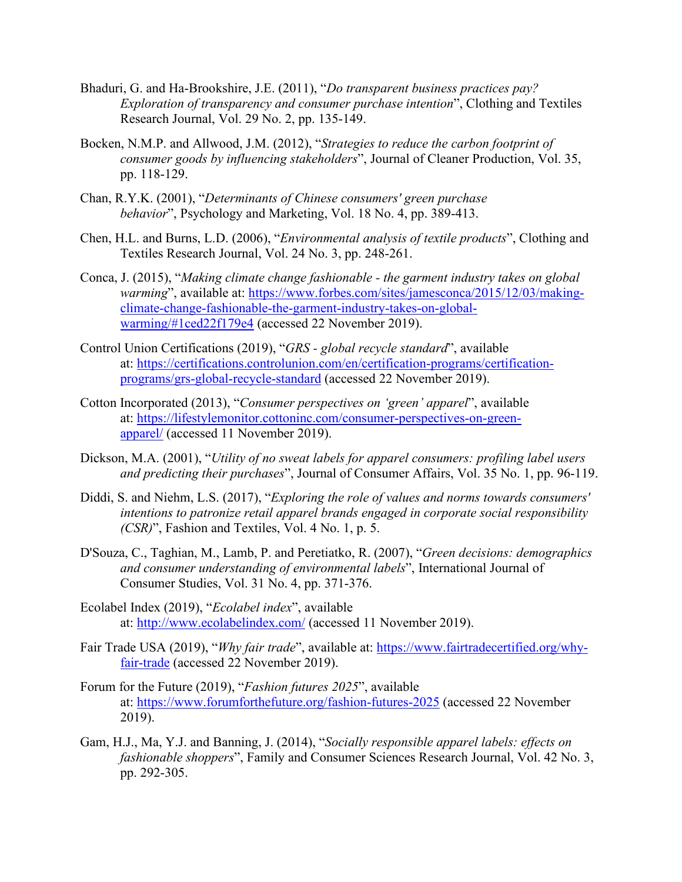- Bhaduri, G. and Ha-Brookshire, J.E. (2011), "*Do transparent business practices pay? Exploration of transparency and consumer purchase intention*", Clothing and Textiles Research Journal, Vol. 29 No. 2, pp. 135-149.
- Bocken, N.M.P. and Allwood, J.M. (2012), "*Strategies to reduce the carbon footprint of consumer goods by influencing stakeholders*", Journal of Cleaner Production, Vol. 35, pp. 118-129.
- Chan, R.Y.K. (2001), "*Determinants of Chinese consumers' green purchase behavior*", Psychology and Marketing, Vol. 18 No. 4, pp. 389-413.
- Chen, H.L. and Burns, L.D. (2006), "*Environmental analysis of textile products*", Clothing and Textiles Research Journal, Vol. 24 No. 3, pp. 248-261.
- Conca, J. (2015), "*Making climate change fashionable - the garment industry takes on global warming*", available at: [https://www.forbes.com/sites/jamesconca/2015/12/03/making](https://www.forbes.com/sites/jamesconca/2015/12/03/making-climate-change-fashionable-the-garment-industry-takes-on-global-warming/#1ced22f179e4)[climate-change-fashionable-the-garment-industry-takes-on-global](https://www.forbes.com/sites/jamesconca/2015/12/03/making-climate-change-fashionable-the-garment-industry-takes-on-global-warming/#1ced22f179e4)[warming/#1ced22f179e4](https://www.forbes.com/sites/jamesconca/2015/12/03/making-climate-change-fashionable-the-garment-industry-takes-on-global-warming/#1ced22f179e4) (accessed 22 November 2019).
- Control Union Certifications (2019), "*GRS - global recycle standard*", available at: [https://certifications.controlunion.com/en/certification-programs/certification](https://certifications.controlunion.com/en/certification-programs/certification-programs/grs-global-recycle-standard)[programs/grs-global-recycle-standard](https://certifications.controlunion.com/en/certification-programs/certification-programs/grs-global-recycle-standard) (accessed 22 November 2019).
- Cotton Incorporated (2013), "*Consumer perspectives on 'green' apparel*", available at: [https://lifestylemonitor.cottoninc.com/consumer-perspectives-on-green](https://lifestylemonitor.cottoninc.com/consumer-perspectives-on-green-apparel/)[apparel/](https://lifestylemonitor.cottoninc.com/consumer-perspectives-on-green-apparel/) (accessed 11 November 2019).
- Dickson, M.A. (2001), "*Utility of no sweat labels for apparel consumers: profiling label users and predicting their purchases*", Journal of Consumer Affairs, Vol. 35 No. 1, pp. 96-119.
- Diddi, S. and Niehm, L.S. (2017), "*Exploring the role of values and norms towards consumers' intentions to patronize retail apparel brands engaged in corporate social responsibility (CSR)*", Fashion and Textiles, Vol. 4 No. 1, p. 5.
- D'Souza, C., Taghian, M., Lamb, P. and Peretiatko, R. (2007), "*Green decisions: demographics and consumer understanding of environmental labels*", International Journal of Consumer Studies, Vol. 31 No. 4, pp. 371-376.
- Ecolabel Index (2019), "*Ecolabel index*", available at: <http://www.ecolabelindex.com/> (accessed 11 November 2019).
- Fair Trade USA (2019), "*Why fair trade*", available at: [https://www.fairtradecertified.org/why](https://www.fairtradecertified.org/why-fair-trade)[fair-trade](https://www.fairtradecertified.org/why-fair-trade) (accessed 22 November 2019).
- Forum for the Future (2019), "*Fashion futures 2025*", available at: <https://www.forumforthefuture.org/fashion-futures-2025> (accessed 22 November 2019).
- Gam, H.J., Ma, Y.J. and Banning, J. (2014), "*Socially responsible apparel labels: effects on fashionable shoppers*", Family and Consumer Sciences Research Journal, Vol. 42 No. 3, pp. 292-305.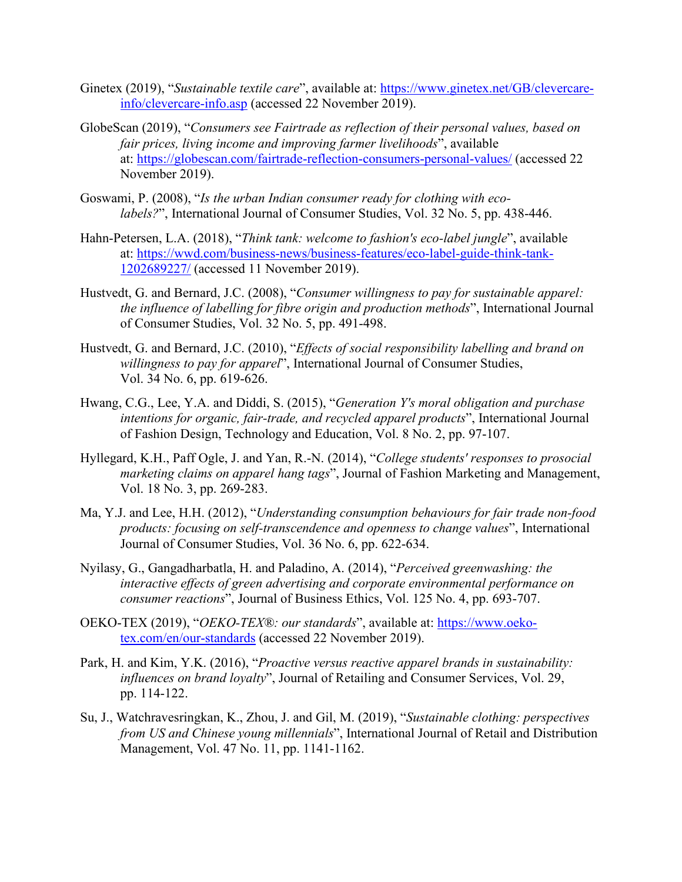- Ginetex (2019), "*Sustainable textile care*", available at: [https://www.ginetex.net/GB/clevercare](https://www.ginetex.net/GB/clevercare-info/clevercare-info.asp)[info/clevercare-info.asp](https://www.ginetex.net/GB/clevercare-info/clevercare-info.asp) (accessed 22 November 2019).
- GlobeScan (2019), "*Consumers see Fairtrade as reflection of their personal values, based on fair prices, living income and improving farmer livelihoods*", available at: <https://globescan.com/fairtrade-reflection-consumers-personal-values/> (accessed 22 November 2019).
- Goswami, P. (2008), "*Is the urban Indian consumer ready for clothing with ecolabels?*", International Journal of Consumer Studies, Vol. 32 No. 5, pp. 438-446.
- Hahn-Petersen, L.A. (2018), "*Think tank: welcome to fashion's eco-label jungle*", available at: [https://wwd.com/business-news/business-features/eco-label-guide-think-tank-](https://wwd.com/business-news/business-features/eco-label-guide-think-tank-1202689227/)[1202689227/](https://wwd.com/business-news/business-features/eco-label-guide-think-tank-1202689227/) (accessed 11 November 2019).
- Hustvedt, G. and Bernard, J.C. (2008), "*Consumer willingness to pay for sustainable apparel: the influence of labelling for fibre origin and production methods*", International Journal of Consumer Studies, Vol. 32 No. 5, pp. 491-498.
- Hustvedt, G. and Bernard, J.C. (2010), "*Effects of social responsibility labelling and brand on willingness to pay for apparel*", International Journal of Consumer Studies, Vol. 34 No. 6, pp. 619-626.
- Hwang, C.G., Lee, Y.A. and Diddi, S. (2015), "*Generation Y's moral obligation and purchase intentions for organic, fair-trade, and recycled apparel products*", International Journal of Fashion Design, Technology and Education, Vol. 8 No. 2, pp. 97-107.
- Hyllegard, K.H., Paff Ogle, J. and Yan, R.-N. (2014), "*College students' responses to prosocial marketing claims on apparel hang tags*", Journal of Fashion Marketing and Management, Vol. 18 No. 3, pp. 269-283.
- Ma, Y.J. and Lee, H.H. (2012), "*Understanding consumption behaviours for fair trade non-food products: focusing on self-transcendence and openness to change values*", International Journal of Consumer Studies, Vol. 36 No. 6, pp. 622-634.
- Nyilasy, G., Gangadharbatla, H. and Paladino, A. (2014), "*Perceived greenwashing: the interactive effects of green advertising and corporate environmental performance on consumer reactions*", Journal of Business Ethics, Vol. 125 No. 4, pp. 693-707.
- OEKO-TEX (2019), "*OEKO-TEX®: our standards*", available at: [https://www.oeko](https://www.oeko-tex.com/en/our-standards)[tex.com/en/our-standards](https://www.oeko-tex.com/en/our-standards) (accessed 22 November 2019).
- Park, H. and Kim, Y.K. (2016), "*Proactive versus reactive apparel brands in sustainability: influences on brand loyalty*", Journal of Retailing and Consumer Services, Vol. 29, pp. 114-122.
- Su, J., Watchravesringkan, K., Zhou, J. and Gil, M. (2019), "*Sustainable clothing: perspectives from US and Chinese young millennials*", International Journal of Retail and Distribution Management, Vol. 47 No. 11, pp. 1141-1162.